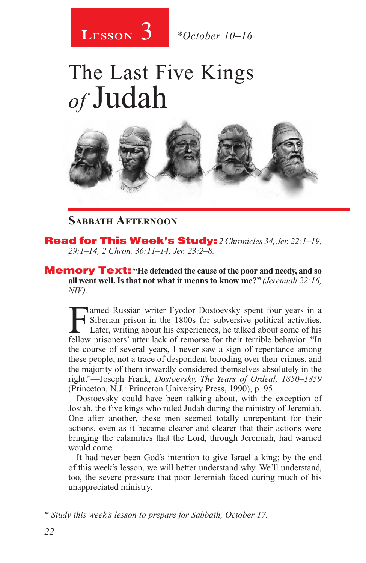

# The Last Five Kings *of* Judah



### **Sabbath Afternoon**

Read for This Week's Study: *2 Chronicles 34, Jer. 22:1–19, 29:1–14, 2 Chron. 36:11–14, Jer. 23:2–8.*

Memory Text: **"He defended the cause of the poor and needy, and so all went well. Is that not what it means to know me?"** *(Jeremiah 22:16, NIV).*

Famed Russian writer Fyodor Dostoevsky spent four years in a<br>Siberian prison in the 1800s for subversive political activities.<br>Later, writing about his experiences, he talked about some of his<br>fellow prisoners' utter lack Siberian prison in the 1800s for subversive political activities. Later, writing about his experiences, he talked about some of his fellow prisoners' utter lack of remorse for their terrible behavior. "In the course of several years, I never saw a sign of repentance among these people; not a trace of despondent brooding over their crimes, and the majority of them inwardly considered themselves absolutely in the right."—Joseph Frank, *Dostoevsky, The Years of Ordeal, 1850–1859* (Princeton, N.J.: Princeton University Press, 1990), p. 95.

Dostoevsky could have been talking about, with the exception of Josiah, the five kings who ruled Judah during the ministry of Jeremiah. One after another, these men seemed totally unrepentant for their actions, even as it became clearer and clearer that their actions were bringing the calamities that the Lord, through Jeremiah, had warned would come.

It had never been God's intention to give Israel a king; by the end of this week's lesson, we will better understand why. We'll understand, too, the severe pressure that poor Jeremiah faced during much of his unappreciated ministry.

*\* Study this week's lesson to prepare for Sabbath, October 17.*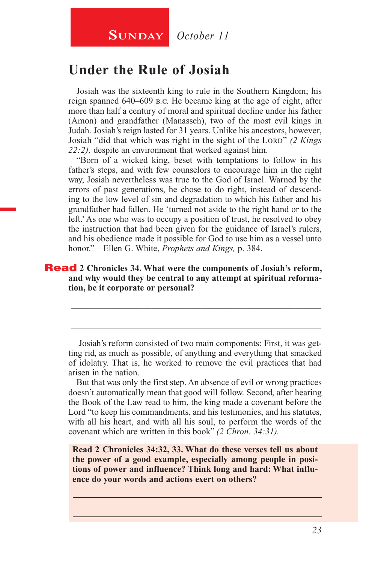# **Under the Rule of Josiah**

Josiah was the sixteenth king to rule in the Southern Kingdom; his reign spanned 640–609 b.c. He became king at the age of eight, after more than half a century of moral and spiritual decline under his father (Amon) and grandfather (Manasseh), two of the most evil kings in Judah. Josiah's reign lasted for 31 years. Unlike his ancestors, however, Josiah "did that which was right in the sight of the Lord" (2 Kings *22:2),* despite an environment that worked against him.

"Born of a wicked king, beset with temptations to follow in his father's steps, and with few counselors to encourage him in the right way, Josiah nevertheless was true to the God of Israel. Warned by the errors of past generations, he chose to do right, instead of descending to the low level of sin and degradation to which his father and his grandfather had fallen. He 'turned not aside to the right hand or to the left.' As one who was to occupy a position of trust, he resolved to obey the instruction that had been given for the guidance of Israel's rulers, and his obedience made it possible for God to use him as a vessel unto honor."—Ellen G. White, *Prophets and Kings,* p. 384.

#### Read **2 Chronicles 34. What were the components of Josiah's reform, and why would they be central to any attempt at spiritual reformation, be it corporate or personal?**

 Josiah's reform consisted of two main components: First, it was getting rid, as much as possible, of anything and everything that smacked of idolatry. That is, he worked to remove the evil practices that had arisen in the nation.

\_\_\_\_\_\_\_\_\_\_\_\_\_\_\_\_\_\_\_\_\_\_\_\_\_\_\_\_\_\_\_\_\_\_\_\_\_\_\_\_\_\_\_\_\_\_\_\_\_\_\_\_\_\_\_\_

\_\_\_\_\_\_\_\_\_\_\_\_\_\_\_\_\_\_\_\_\_\_\_\_\_\_\_\_\_\_\_\_\_\_\_\_\_\_\_\_\_\_\_\_\_\_\_\_\_\_\_\_\_\_\_\_

But that was only the first step. An absence of evil or wrong practices doesn't automatically mean that good will follow. Second, after hearing the Book of the Law read to him, the king made a covenant before the Lord "to keep his commandments, and his testimonies, and his statutes, with all his heart, and with all his soul, to perform the words of the covenant which are written in this book" *(2 Chron. 34:31).*

**Read 2 Chronicles 34:32, 33. What do these verses tell us about the power of a good example, especially among people in positions of power and influence? Think long and hard: What influence do your words and actions exert on others?**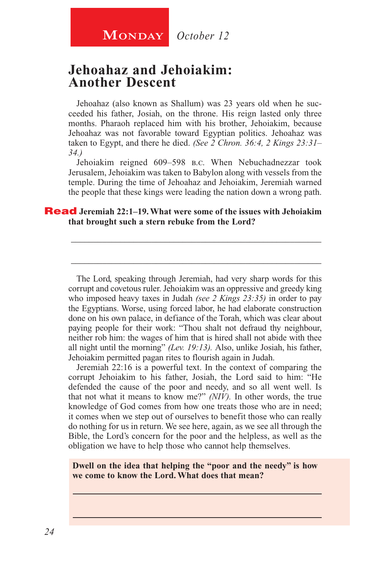## **Jehoahaz and Jehoiakim: Another Descent**

Jehoahaz (also known as Shallum) was 23 years old when he succeeded his father, Josiah, on the throne. His reign lasted only three months. Pharaoh replaced him with his brother, Jehoiakim, because Jehoahaz was not favorable toward Egyptian politics. Jehoahaz was taken to Egypt, and there he died. *(See 2 Chron. 36:4, 2 Kings 23:31– 34.)*

Jehoiakim reigned 609–598 b.c. When Nebuchadnezzar took Jerusalem, Jehoiakim was taken to Babylon along with vessels from the temple. During the time of Jehoahaz and Jehoiakim, Jeremiah warned the people that these kings were leading the nation down a wrong path.

\_\_\_\_\_\_\_\_\_\_\_\_\_\_\_\_\_\_\_\_\_\_\_\_\_\_\_\_\_\_\_\_\_\_\_\_\_\_\_\_\_\_\_\_\_\_\_\_\_\_\_\_\_\_\_\_

\_\_\_\_\_\_\_\_\_\_\_\_\_\_\_\_\_\_\_\_\_\_\_\_\_\_\_\_\_\_\_\_\_\_\_\_\_\_\_\_\_\_\_\_\_\_\_\_\_\_\_\_\_\_\_\_

#### Read **Jeremiah 22:1–19. What were some of the issues with Jehoiakim that brought such a stern rebuke from the Lord?**

The Lord, speaking through Jeremiah, had very sharp words for this corrupt and covetous ruler. Jehoiakim was an oppressive and greedy king who imposed heavy taxes in Judah *(see 2 Kings 23:35)* in order to pay the Egyptians. Worse, using forced labor, he had elaborate construction done on his own palace, in defiance of the Torah, which was clear about paying people for their work: "Thou shalt not defraud thy neighbour, neither rob him: the wages of him that is hired shall not abide with thee all night until the morning" *(Lev. 19:13).* Also, unlike Josiah, his father, Jehoiakim permitted pagan rites to flourish again in Judah.

Jeremiah 22:16 is a powerful text. In the context of comparing the corrupt Jehoiakim to his father, Josiah, the Lord said to him: "He defended the cause of the poor and needy, and so all went well. Is that not what it means to know me?" *(NIV).* In other words, the true knowledge of God comes from how one treats those who are in need; it comes when we step out of ourselves to benefit those who can really do nothing for us in return. We see here, again, as we see all through the Bible, the Lord's concern for the poor and the helpless, as well as the obligation we have to help those who cannot help themselves.

**Dwell on the idea that helping the "poor and the needy" is how we come to know the Lord. What does that mean?**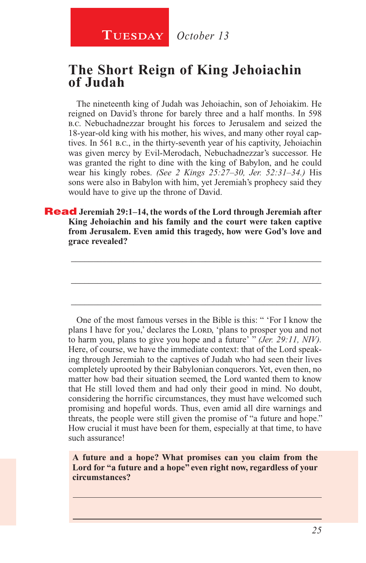**TUESDAY** October 13

## **The Short Reign of King Jehoiachin of Judah**

The nineteenth king of Judah was Jehoiachin, son of Jehoiakim. He reigned on David's throne for barely three and a half months. In 598 b.c. Nebuchadnezzar brought his forces to Jerusalem and seized the 18-year-old king with his mother, his wives, and many other royal captives. In 561 b.c., in the thirty-seventh year of his captivity, Jehoiachin was given mercy by Evil-Merodach, Nebuchadnezzar's successor. He was granted the right to dine with the king of Babylon, and he could wear his kingly robes. *(See 2 Kings 25:27–30, Jer. 52:31–34.)* His sons were also in Babylon with him, yet Jeremiah's prophecy said they would have to give up the throne of David.

Read **Jeremiah 29:1–14, the words of the Lord through Jeremiah after King Jehoiachin and his family and the court were taken captive from Jerusalem. Even amid this tragedy, how were God's love and grace revealed?** 

\_\_\_\_\_\_\_\_\_\_\_\_\_\_\_\_\_\_\_\_\_\_\_\_\_\_\_\_\_\_\_\_\_\_\_\_\_\_\_\_\_\_\_\_\_\_\_\_\_\_\_\_\_\_\_\_

\_\_\_\_\_\_\_\_\_\_\_\_\_\_\_\_\_\_\_\_\_\_\_\_\_\_\_\_\_\_\_\_\_\_\_\_\_\_\_\_\_\_\_\_\_\_\_\_\_\_\_\_\_\_\_\_

\_\_\_\_\_\_\_\_\_\_\_\_\_\_\_\_\_\_\_\_\_\_\_\_\_\_\_\_\_\_\_\_\_\_\_\_\_\_\_\_\_\_\_\_\_\_\_\_\_\_\_\_\_\_\_\_

One of the most famous verses in the Bible is this: " 'For I know the plans I have for you,' declares the LORD, 'plans to prosper you and not to harm you, plans to give you hope and a future' " *(Jer. 29:11, NIV).* Here, of course, we have the immediate context: that of the Lord speaking through Jeremiah to the captives of Judah who had seen their lives completely uprooted by their Babylonian conquerors. Yet, even then, no matter how bad their situation seemed, the Lord wanted them to know that He still loved them and had only their good in mind. No doubt, considering the horrific circumstances, they must have welcomed such promising and hopeful words. Thus, even amid all dire warnings and threats, the people were still given the promise of "a future and hope." How crucial it must have been for them, especially at that time, to have such assurance!

**A future and a hope? What promises can you claim from the Lord for "a future and a hope" even right now, regardless of your circumstances?**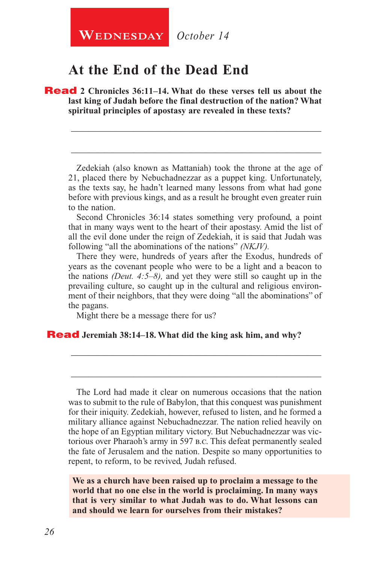**WEDNESDAY** October 14

## **At the End of the Dead End**

Read **2 Chronicles 36:11–14. What do these verses tell us about the last king of Judah before the final destruction of the nation? What spiritual principles of apostasy are revealed in these texts?**

Zedekiah (also known as Mattaniah) took the throne at the age of 21, placed there by Nebuchadnezzar as a puppet king. Unfortunately, as the texts say, he hadn't learned many lessons from what had gone before with previous kings, and as a result he brought even greater ruin to the nation.

\_\_\_\_\_\_\_\_\_\_\_\_\_\_\_\_\_\_\_\_\_\_\_\_\_\_\_\_\_\_\_\_\_\_\_\_\_\_\_\_\_\_\_\_\_\_\_\_\_\_\_\_\_\_\_\_

\_\_\_\_\_\_\_\_\_\_\_\_\_\_\_\_\_\_\_\_\_\_\_\_\_\_\_\_\_\_\_\_\_\_\_\_\_\_\_\_\_\_\_\_\_\_\_\_\_\_\_\_\_\_\_\_

Second Chronicles 36:14 states something very profound, a point that in many ways went to the heart of their apostasy. Amid the list of all the evil done under the reign of Zedekiah, it is said that Judah was following "all the abominations of the nations" *(NKJV).*

There they were, hundreds of years after the Exodus, hundreds of years as the covenant people who were to be a light and a beacon to the nations *(Deut. 4:5–8),* and yet they were still so caught up in the prevailing culture, so caught up in the cultural and religious environment of their neighbors, that they were doing "all the abominations" of the pagans.

\_\_\_\_\_\_\_\_\_\_\_\_\_\_\_\_\_\_\_\_\_\_\_\_\_\_\_\_\_\_\_\_\_\_\_\_\_\_\_\_\_\_\_\_\_\_\_\_\_\_\_\_\_\_\_\_

\_\_\_\_\_\_\_\_\_\_\_\_\_\_\_\_\_\_\_\_\_\_\_\_\_\_\_\_\_\_\_\_\_\_\_\_\_\_\_\_\_\_\_\_\_\_\_\_\_\_\_\_\_\_\_\_

Might there be a message there for us?

#### Read **Jeremiah 38:14–18. What did the king ask him, and why?**

The Lord had made it clear on numerous occasions that the nation was to submit to the rule of Babylon, that this conquest was punishment for their iniquity. Zedekiah, however, refused to listen, and he formed a military alliance against Nebuchadnezzar. The nation relied heavily on the hope of an Egyptian military victory. But Nebuchadnezzar was victorious over Pharaoh's army in 597 b.c. This defeat permanently sealed the fate of Jerusalem and the nation. Despite so many opportunities to repent, to reform, to be revived, Judah refused.

**We as a church have been raised up to proclaim a message to the world that no one else in the world is proclaiming. In many ways that is very similar to what Judah was to do. What lessons can and should we learn for ourselves from their mistakes?**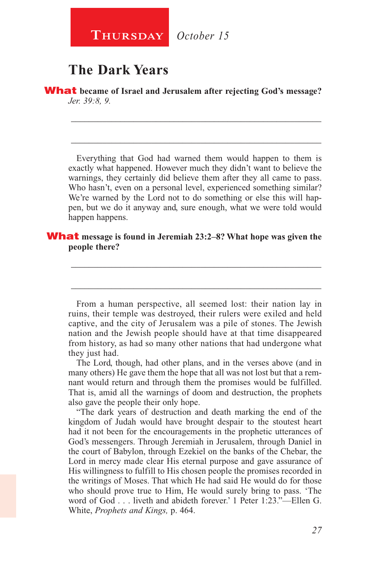**Thursday** *October 15*

# **The Dark Years**

What **became of Israel and Jerusalem after rejecting God's message?**  *Jer. 39:8, 9.*

Everything that God had warned them would happen to them is exactly what happened. However much they didn't want to believe the warnings, they certainly did believe them after they all came to pass. Who hasn't, even on a personal level, experienced something similar? We're warned by the Lord not to do something or else this will happen, but we do it anyway and, sure enough, what we were told would happen happens.

\_\_\_\_\_\_\_\_\_\_\_\_\_\_\_\_\_\_\_\_\_\_\_\_\_\_\_\_\_\_\_\_\_\_\_\_\_\_\_\_\_\_\_\_\_\_\_\_\_\_\_\_\_\_\_\_

\_\_\_\_\_\_\_\_\_\_\_\_\_\_\_\_\_\_\_\_\_\_\_\_\_\_\_\_\_\_\_\_\_\_\_\_\_\_\_\_\_\_\_\_\_\_\_\_\_\_\_\_\_\_\_\_

#### What **message is found in Jeremiah 23:2–8? What hope was given the people there?**

From a human perspective, all seemed lost: their nation lay in ruins, their temple was destroyed, their rulers were exiled and held captive, and the city of Jerusalem was a pile of stones. The Jewish nation and the Jewish people should have at that time disappeared from history, as had so many other nations that had undergone what they just had.

\_\_\_\_\_\_\_\_\_\_\_\_\_\_\_\_\_\_\_\_\_\_\_\_\_\_\_\_\_\_\_\_\_\_\_\_\_\_\_\_\_\_\_\_\_\_\_\_\_\_\_\_\_\_\_\_

\_\_\_\_\_\_\_\_\_\_\_\_\_\_\_\_\_\_\_\_\_\_\_\_\_\_\_\_\_\_\_\_\_\_\_\_\_\_\_\_\_\_\_\_\_\_\_\_\_\_\_\_\_\_\_\_

The Lord, though, had other plans, and in the verses above (and in many others) He gave them the hope that all was not lost but that a remnant would return and through them the promises would be fulfilled. That is, amid all the warnings of doom and destruction, the prophets also gave the people their only hope.

"The dark years of destruction and death marking the end of the kingdom of Judah would have brought despair to the stoutest heart had it not been for the encouragements in the prophetic utterances of God's messengers. Through Jeremiah in Jerusalem, through Daniel in the court of Babylon, through Ezekiel on the banks of the Chebar, the Lord in mercy made clear His eternal purpose and gave assurance of His willingness to fulfill to His chosen people the promises recorded in the writings of Moses. That which He had said He would do for those who should prove true to Him, He would surely bring to pass. 'The word of God . . . liveth and abideth forever.' 1 Peter 1:23."—Ellen G. White, *Prophets and Kings,* p. 464.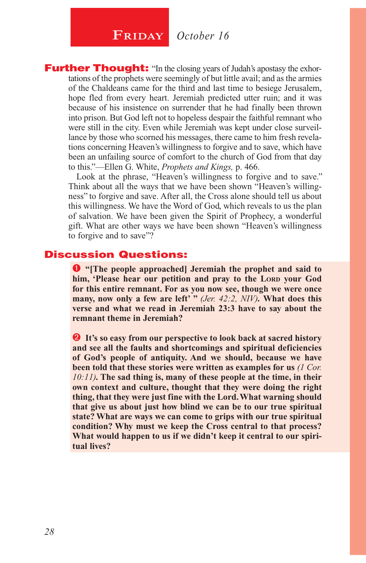# **FRIDAY** October 16

**Further Thought:** "In the closing years of Judah's apostasy the exhortations of the prophets were seemingly of but little avail; and as the armies of the Chaldeans came for the third and last time to besiege Jerusalem, hope fled from every heart. Jeremiah predicted utter ruin; and it was because of his insistence on surrender that he had finally been thrown into prison. But God left not to hopeless despair the faithful remnant who were still in the city. Even while Jeremiah was kept under close surveillance by those who scorned his messages, there came to him fresh revelations concerning Heaven's willingness to forgive and to save, which have been an unfailing source of comfort to the church of God from that day to this."—Ellen G. White, *Prophets and Kings,* p. 466.

Look at the phrase, "Heaven's willingness to forgive and to save." Think about all the ways that we have been shown "Heaven's willingness" to forgive and save. After all, the Cross alone should tell us about this willingness. We have the Word of God, which reveals to us the plan of salvation. We have been given the Spirit of Prophecy, a wonderful gift. What are other ways we have been shown "Heaven's willingness to forgive and to save"?

#### Discussion Questions:

 **"[The people approached] Jeremiah the prophet and said to**  him, 'Please hear our petition and pray to the Lord your God **for this entire remnant. For as you now see, though we were once many, now only a few are left' "** *(Jer. 42:2, NIV).* **What does this verse and what we read in Jeremiah 23:3 have to say about the remnant theme in Jeremiah?**

**2** It's so easy from our perspective to look back at sacred history **and see all the faults and shortcomings and spiritual deficiencies of God's people of antiquity. And we should, because we have been told that these stories were written as examples for us** *(1 Cor. 10:11).* **The sad thing is, many of these people at the time, in their own context and culture, thought that they were doing the right thing, that they were just fine with the Lord. What warning should that give us about just how blind we can be to our true spiritual state? What are ways we can come to grips with our true spiritual condition? Why must we keep the Cross central to that process? What would happen to us if we didn't keep it central to our spiritual lives?**